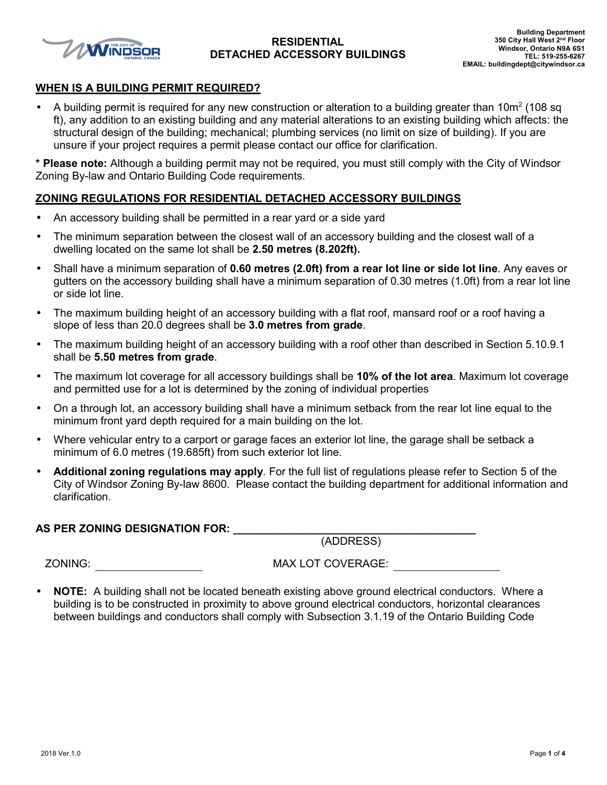

### **RESIDENTIAL DETACHED ACCESSORY BUILDINGS**

### **WHEN IS A BUILDING PERMIT REQUIRED?**

• A building permit is required for any new construction or alteration to a building greater than 10 $m^2$  (108 sq ft), any addition to an existing building and any material alterations to an existing building which affects: the structural design of the building; mechanical; plumbing services (no limit on size of building). If you are unsure if your project requires a permit please contact our office for clarification.

**\* Please note:** Although a building permit may not be required, you must still comply with the City of Windsor Zoning By-law and Ontario Building Code requirements.

### **ZONING REGULATIONS FOR RESIDENTIAL DETACHED ACCESSORY BUILDINGS**

- An accessory building shall be permitted in a rear yard or a side yard
- The minimum separation between the closest wall of an accessory building and the closest wall of a dwelling located on the same lot shall be **2.50 metres (8.202ft).**
- Shall have a minimum separation of **0.60 metres (2.0ft) from a rear lot line or side lot line**. Any eaves or gutters on the accessory building shall have a minimum separation of 0.30 metres (1.0ft) from a rear lot line or side lot line.
- The maximum building height of an accessory building with a flat roof, mansard roof or a roof having a slope of less than 20.0 degrees shall be **3.0 metres from grade**.
- The maximum building height of an accessory building with a roof other than described in Section 5.10.9.1 shall be **5.50 metres from grade**.
- The maximum lot coverage for all accessory buildings shall be **10% of the lot area**. Maximum lot coverage and permitted use for a lot is determined by the zoning of individual properties
- On a through lot, an accessory building shall have a minimum setback from the rear lot line equal to the minimum front yard depth required for a main building on the lot.
- Where vehicular entry to a carport or garage faces an exterior lot line, the garage shall be setback a minimum of 6.0 metres (19.685ft) from such exterior lot line.
- **Additional zoning regulations may apply**. For the full list of regulations please refer to Section 5 of the City of Windsor Zoning By-law 8600. Please contact the building department for additional information and clarification.

**AS PER ZONING DESIGNATION FOR: \_\_\_\_\_\_\_\_\_\_\_\_\_\_\_\_\_\_\_\_\_\_\_\_\_\_\_\_\_\_\_\_\_\_\_\_\_\_\_\_** 

(ADDRESS)

ZONING: MAX LOT COVERAGE:

• **NOTE:** A building shall not be located beneath existing above ground electrical conductors. Where a building is to be constructed in proximity to above ground electrical conductors, horizontal clearances between buildings and conductors shall comply with Subsection 3.1.19 of the Ontario Building Code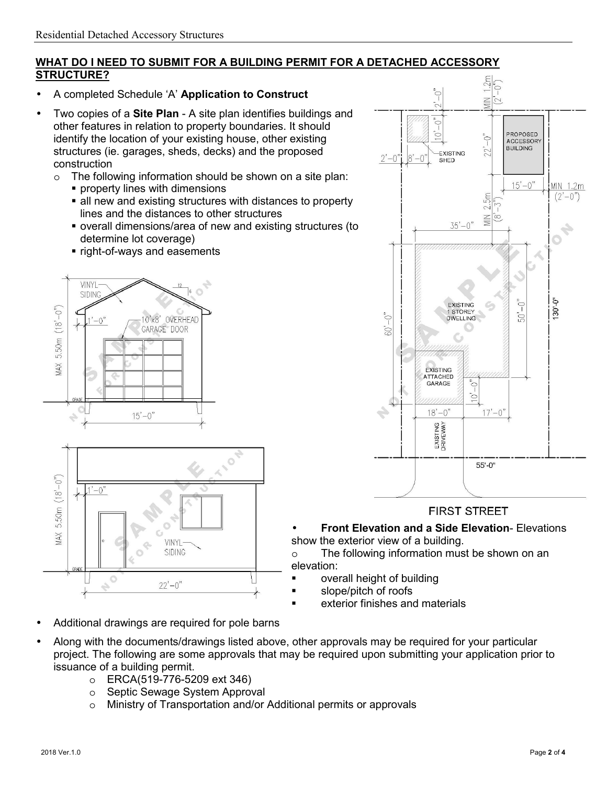### **WHAT DO I NEED TO SUBMIT FOR A BUILDING PERMIT FOR A DETACHED ACCESSORY STRUCTURE?**

- A completed Schedule 'A' **Application to Construct**
- Two copies of a **Site Plan** A site plan identifies buildings and other features in relation to property boundaries. It should identify the location of your existing house, other existing structures (ie. garages, sheds, decks) and the proposed construction
	- o The following information should be shown on a site plan:
		- **Peroperty lines with dimensions**
		- all new and existing structures with distances to property lines and the distances to other structures
		- overall dimensions/area of new and existing structures (to determine lot coverage)
		- right-of-ways and easements





- Additional drawings are required for pole barns
- Along with the documents/drawings listed above, other approvals may be required for your particular project. The following are some approvals that may be required upon submitting your application prior to issuance of a building permit.
	- o ERCA(519-776-5209 ext 346)
	- o Septic Sewage System Approval
	- o Ministry of Transportation and/or Additional permits or approvals



## **FIRST STREET**

• **Front Elevation and a Side Elevation**- Elevations show the exterior view of a building.

o The following information must be shown on an elevation:

- overall height of building
- slope/pitch of roofs
- exterior finishes and materials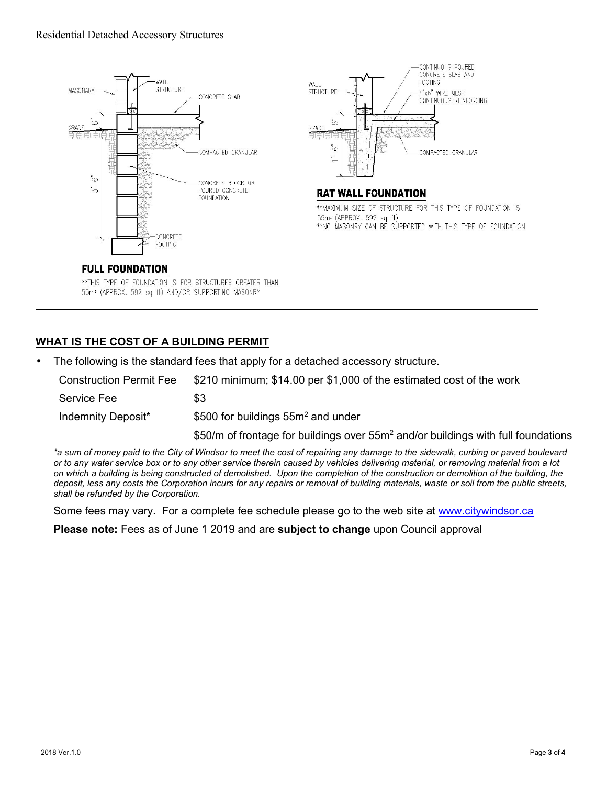



**RAT WALL FOUNDATION** 

\*\* MAXIMUM SIZE OF STRUCTURE FOR THIS TYPE OF FOUNDATION IS 55m\* (APPROX, 592 sq ft) \*\*NO MASONRY CAN BE SUPPORTED WITH THIS TYPE OF FOUNDATION

### **FULL FOUNDATION**

\*\* THIS TYPE OF FOUNDATION IS FOR STRUCTURES GREATER THAN 55m<sup>2</sup> (APPROX. 592 sq ft) AND/OR SUPPORTING MASONRY

## **WHAT IS THE COST OF A BUILDING PERMIT**

• The following is the standard fees that apply for a detached accessory structure.

| <b>Construction Permit Fee</b> | \$210 minimum; \$14.00 per \$1,000 of the estimated cost of the work |
|--------------------------------|----------------------------------------------------------------------|
| Service Fee                    | \$3                                                                  |
| Indemnity Deposit*             | \$500 for buildings $55m^2$ and under                                |

\$50/m of frontage for buildings over 55m<sup>2</sup> and/or buildings with full foundations

*\*a sum of money paid to the City of Windsor to meet the cost of repairing any damage to the sidewalk, curbing or paved boulevard or to any water service box or to any other service therein caused by vehicles delivering material, or removing material from a lot on which a building is being constructed of demolished. Upon the completion of the construction or demolition of the building, the deposit, less any costs the Corporation incurs for any repairs or removal of building materials, waste or soil from the public streets, shall be refunded by the Corporation.* 

Some fees may vary. For a complete fee schedule please go to the web site at www.citywindsor.ca

**Please note:** Fees as of June 1 2019 and are **subject to change** upon Council approval